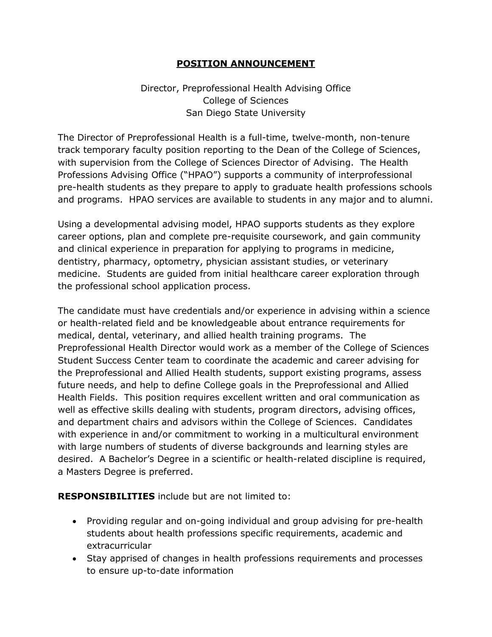## **POSITION ANNOUNCEMENT**

Director, Preprofessional Health Advising Office College of Sciences San Diego State University

The Director of Preprofessional Health is a full-time, twelve-month, non-tenure track temporary faculty position reporting to the Dean of the College of Sciences, with supervision from the College of Sciences Director of Advising. The Health Professions Advising Office ("HPAO") supports a community of interprofessional pre-health students as they prepare to apply to graduate health professions schools and programs. HPAO services are available to students in any major and to alumni.

Using a developmental advising model, HPAO supports students as they explore career options, plan and complete pre-requisite coursework, and gain community and clinical experience in preparation for applying to programs in medicine, dentistry, pharmacy, optometry, physician assistant studies, or veterinary medicine. Students are guided from initial healthcare career exploration through the professional school application process.

The candidate must have credentials and/or experience in advising within a science or health-related field and be knowledgeable about entrance requirements for medical, dental, veterinary, and allied health training programs. The Preprofessional Health Director would work as a member of the College of Sciences Student Success Center team to coordinate the academic and career advising for the Preprofessional and Allied Health students, support existing programs, assess future needs, and help to define College goals in the Preprofessional and Allied Health Fields. This position requires excellent written and oral communication as well as effective skills dealing with students, program directors, advising offices, and department chairs and advisors within the College of Sciences. Candidates with experience in and/or commitment to working in a multicultural environment with large numbers of students of diverse backgrounds and learning styles are desired. A Bachelor's Degree in a scientific or health-related discipline is required, a Masters Degree is preferred.

**RESPONSIBILITIES** include but are not limited to:

- Providing regular and on-going individual and group advising for pre-health students about health professions specific requirements, academic and extracurricular
- Stay apprised of changes in health professions requirements and processes to ensure up-to-date information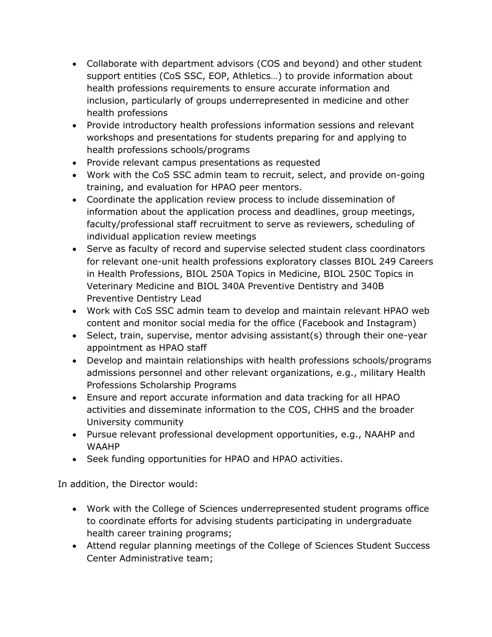- Collaborate with department advisors (COS and beyond) and other student support entities (CoS SSC, EOP, Athletics…) to provide information about health professions requirements to ensure accurate information and inclusion, particularly of groups underrepresented in medicine and other health professions
- Provide introductory health professions information sessions and relevant workshops and presentations for students preparing for and applying to health professions schools/programs
- Provide relevant campus presentations as requested
- Work with the CoS SSC admin team to recruit, select, and provide on-going training, and evaluation for HPAO peer mentors.
- Coordinate the application review process to include dissemination of information about the application process and deadlines, group meetings, faculty/professional staff recruitment to serve as reviewers, scheduling of individual application review meetings
- Serve as faculty of record and supervise selected student class coordinators for relevant one-unit health professions exploratory classes BIOL 249 Careers in Health Professions, BIOL 250A Topics in Medicine, BIOL 250C Topics in Veterinary Medicine and BIOL 340A Preventive Dentistry and 340B Preventive Dentistry Lead
- Work with CoS SSC admin team to develop and maintain relevant HPAO web content and monitor social media for the office (Facebook and Instagram)
- Select, train, supervise, mentor advising assistant(s) through their one-year appointment as HPAO staff
- Develop and maintain relationships with health professions schools/programs admissions personnel and other relevant organizations, e.g., military Health Professions Scholarship Programs
- Ensure and report accurate information and data tracking for all HPAO activities and disseminate information to the COS, CHHS and the broader University community
- Pursue relevant professional development opportunities, e.g., NAAHP and WAAHP
- Seek funding opportunities for HPAO and HPAO activities.

In addition, the Director would:

- Work with the College of Sciences underrepresented student programs office to coordinate efforts for advising students participating in undergraduate health career training programs;
- Attend regular planning meetings of the College of Sciences Student Success Center Administrative team;